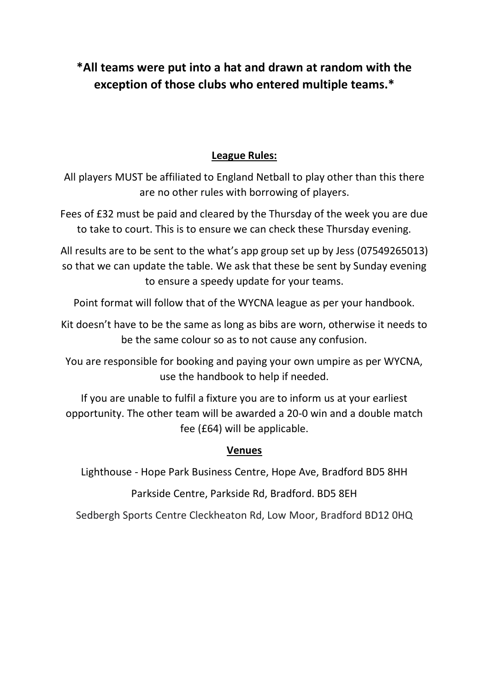## **\*All teams were put into a hat and drawn at random with the exception of those clubs who entered multiple teams.\***

## **League Rules:**

All players MUST be affiliated to England Netball to play other than this there are no other rules with borrowing of players.

Fees of £32 must be paid and cleared by the Thursday of the week you are due to take to court. This is to ensure we can check these Thursday evening.

All results are to be sent to the what's app group set up by Jess (07549265013) so that we can update the table. We ask that these be sent by Sunday evening to ensure a speedy update for your teams.

Point format will follow that of the WYCNA league as per your handbook.

Kit doesn't have to be the same as long as bibs are worn, otherwise it needs to be the same colour so as to not cause any confusion.

You are responsible for booking and paying your own umpire as per WYCNA, use the handbook to help if needed.

If you are unable to fulfil a fixture you are to inform us at your earliest opportunity. The other team will be awarded a 20-0 win and a double match fee (£64) will be applicable.

## **Venues**

Lighthouse - Hope Park Business Centre, Hope Ave, Bradford BD5 8HH

Parkside Centre, Parkside Rd, Bradford. BD5 8EH

Sedbergh Sports Centre Cleckheaton Rd, Low Moor, Bradford BD12 0HQ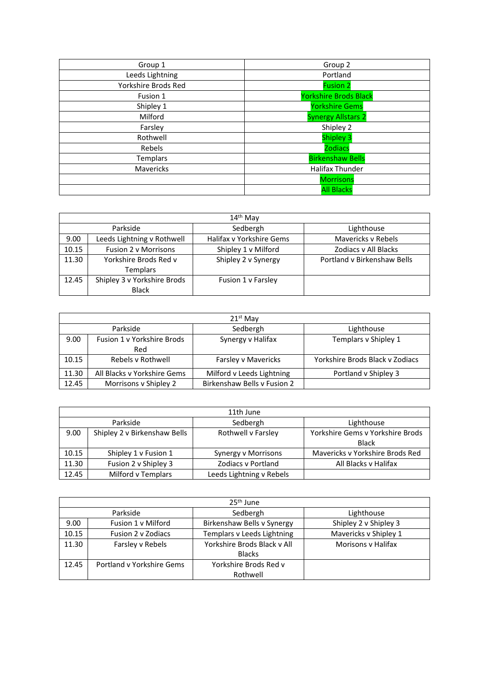| Group 1             | Group 2                      |
|---------------------|------------------------------|
| Leeds Lightning     | Portland                     |
| Yorkshire Brods Red | <b>Fusion 2</b>              |
| Fusion 1            | <b>Yorkshire Brods Black</b> |
| Shipley 1           | <b>Yorkshire Gems</b>        |
| Milford             | <b>Synergy Allstars 2</b>    |
| Farsley             | Shipley 2                    |
| Rothwell            | <b>Shipley 3</b>             |
| Rebels              | <b>Zodiacs</b>               |
| <b>Templars</b>     | <b>Birkenshaw Bells</b>      |
| Mavericks           | Halifax Thunder              |
|                     | <b>Morrisons</b>             |
|                     | <b>All Blacks</b>            |

|       | $14th$ May                  |                          |                             |
|-------|-----------------------------|--------------------------|-----------------------------|
|       | Parkside                    | Sedbergh                 | Lighthouse                  |
| 9.00  | Leeds Lightning v Rothwell  | Halifax v Yorkshire Gems | Mavericks v Rebels          |
| 10.15 | <b>Fusion 2 v Morrisons</b> | Shipley 1 v Milford      | Zodiacs v All Blacks        |
| 11.30 | Yorkshire Brods Red v       | Shipley 2 v Synergy      | Portland v Birkenshaw Bells |
|       | <b>Templars</b>             |                          |                             |
| 12.45 | Shipley 3 v Yorkshire Brods | Fusion 1 v Farsley       |                             |
|       | <b>Black</b>                |                          |                             |

|                                    | $21st$ May                  |                             |                                 |
|------------------------------------|-----------------------------|-----------------------------|---------------------------------|
| Sedbergh<br>Parkside<br>Lighthouse |                             |                             |                                 |
| 9.00                               | Fusion 1 v Yorkshire Brods  | Synergy v Halifax           | Templars v Shipley 1            |
|                                    | Red                         |                             |                                 |
| 10.15                              | Rebels v Rothwell           | Farsley v Mavericks         | Yorkshire Brods Black v Zodiacs |
| 11.30                              | All Blacks v Yorkshire Gems | Milford v Leeds Lightning   | Portland v Shipley 3            |
| 12.45                              | Morrisons v Shipley 2       | Birkenshaw Bells v Fusion 2 |                                 |

|       | 11th June                    |                           |                                  |
|-------|------------------------------|---------------------------|----------------------------------|
|       | Parkside                     | Sedbergh                  | Lighthouse                       |
| 9.00  | Shipley 2 v Birkenshaw Bells | Rothwell v Farsley        | Yorkshire Gems v Yorkshire Brods |
|       |                              |                           | <b>Black</b>                     |
| 10.15 | Shipley 1 v Fusion 1         | Synergy v Morrisons       | Mavericks v Yorkshire Brods Red  |
| 11.30 | Fusion 2 v Shipley 3         | <b>Zodiacs v Portland</b> | All Blacks v Halifax             |
| 12.45 | Milford v Templars           | Leeds Lightning v Rebels  |                                  |

|       | $25th$ June                                                    |                                                                    |                       |
|-------|----------------------------------------------------------------|--------------------------------------------------------------------|-----------------------|
|       | Parkside                                                       | Sedbergh                                                           | Lighthouse            |
| 9.00  | Fusion 1 v Milford                                             | Birkenshaw Bells v Synergy<br>Shipley 2 v Shipley 3                |                       |
| 10.15 | Fusion 2 v Zodiacs                                             | Templars v Leeds Lightning                                         | Mavericks v Shipley 1 |
| 11.30 | Farsley v Rebels                                               | Yorkshire Brods Black v All<br>Morisons y Halifax<br><b>Blacks</b> |                       |
| 12.45 | Yorkshire Brods Red v<br>Portland v Yorkshire Gems<br>Rothwell |                                                                    |                       |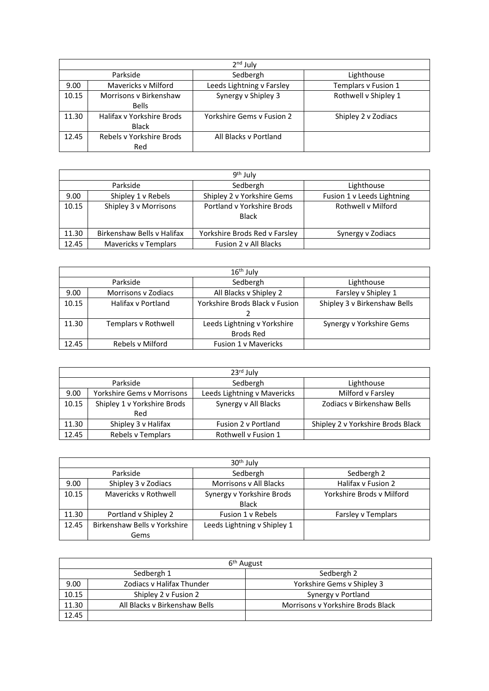|       | $2nd$ July                |                           |                      |
|-------|---------------------------|---------------------------|----------------------|
|       | Parkside                  | Sedbergh                  | Lighthouse           |
| 9.00  | Mavericks v Milford       | Leeds Lightning v Farsley | Templars v Fusion 1  |
| 10.15 | Morrisons v Birkenshaw    | Synergy v Shipley 3       | Rothwell v Shipley 1 |
|       | <b>Bells</b>              |                           |                      |
| 11.30 | Halifax v Yorkshire Brods | Yorkshire Gems v Fusion 2 | Shipley 2 v Zodiacs  |
|       | <b>Black</b>              |                           |                      |
| 12.45 | Rebels v Yorkshire Brods  | All Blacks v Portland     |                      |
|       | Red                       |                           |                      |

|                                                                              | 9 <sup>th</sup> July       |                                                          |                   |
|------------------------------------------------------------------------------|----------------------------|----------------------------------------------------------|-------------------|
|                                                                              | Parkside                   | Sedbergh                                                 | Lighthouse        |
| 9.00                                                                         | Shipley 1 v Rebels         | Shipley 2 v Yorkshire Gems<br>Fusion 1 v Leeds Lightning |                   |
| Portland v Yorkshire Brods<br>10.15<br>Shipley 3 v Morrisons<br><b>Black</b> |                            | Rothwell v Milford                                       |                   |
| 11.30                                                                        | Birkenshaw Bells v Halifax | Yorkshire Brods Red v Farsley                            | Synergy v Zodiacs |
| 12.45                                                                        | Mavericks v Templars       | Fusion 2 v All Blacks                                    |                   |

|       | $16th$ July                                                                    |                                               |                              |
|-------|--------------------------------------------------------------------------------|-----------------------------------------------|------------------------------|
|       | Sedbergh<br>Parkside<br>Lighthouse                                             |                                               |                              |
| 9.00  | <b>Morrisons y Zodiacs</b>                                                     | All Blacks v Shipley 2<br>Farsley v Shipley 1 |                              |
| 10.15 | Halifax y Portland                                                             | Yorkshire Brods Black v Fusion                | Shipley 3 v Birkenshaw Bells |
|       |                                                                                |                                               |                              |
| 11.30 | Leeds Lightning v Yorkshire<br>Templars v Rothwell<br>Synergy v Yorkshire Gems |                                               |                              |
|       |                                                                                | <b>Brods Red</b>                              |                              |
| 12.45 | Rebels v Milford                                                               | <b>Fusion 1 v Mavericks</b>                   |                              |

|                                                                                               | $23rd$ July                 |                                   |                            |
|-----------------------------------------------------------------------------------------------|-----------------------------|-----------------------------------|----------------------------|
| Sedbergh<br>Parkside                                                                          |                             | Lighthouse                        |                            |
| Leeds Lightning v Mavericks<br>Milford v Farsley<br><b>Yorkshire Gems v Morrisons</b><br>9.00 |                             |                                   |                            |
| 10.15                                                                                         | Shipley 1 v Yorkshire Brods | Synergy v All Blacks              | Zodiacs v Birkenshaw Bells |
| Red                                                                                           |                             |                                   |                            |
| Shipley 3 v Halifax<br>11.30<br>Fusion 2 v Portland                                           |                             | Shipley 2 v Yorkshire Brods Black |                            |
| 12.45                                                                                         | Rebels v Templars           | Rothwell v Fusion 1               |                            |

|                                                            | $30th$ July                  |                                                     |                    |
|------------------------------------------------------------|------------------------------|-----------------------------------------------------|--------------------|
| Sedbergh<br>Parkside<br>Sedbergh 2                         |                              |                                                     |                    |
| 9.00                                                       | Shipley 3 v Zodiacs          | Halifax v Fusion 2<br><b>Morrisons v All Blacks</b> |                    |
| 10.15<br>Mavericks v Rothwell<br>Synergy v Yorkshire Brods |                              | Yorkshire Brods v Milford                           |                    |
|                                                            |                              | <b>Black</b>                                        |                    |
| 11.30                                                      | Portland v Shipley 2         | Fusion 1 v Rebels                                   | Farsley v Templars |
| 12.45                                                      | Birkenshaw Bells v Yorkshire | Leeds Lightning v Shipley 1                         |                    |
|                                                            | Gems                         |                                                     |                    |

|       | 6 <sup>th</sup> August        |                                   |  |
|-------|-------------------------------|-----------------------------------|--|
|       | Sedbergh 1                    | Sedbergh 2                        |  |
| 9.00  | Zodiacs y Halifax Thunder     | Yorkshire Gems v Shipley 3        |  |
| 10.15 | Shipley 2 v Fusion 2          | Synergy v Portland                |  |
| 11.30 | All Blacks v Birkenshaw Bells | Morrisons v Yorkshire Brods Black |  |
| 12.45 |                               |                                   |  |